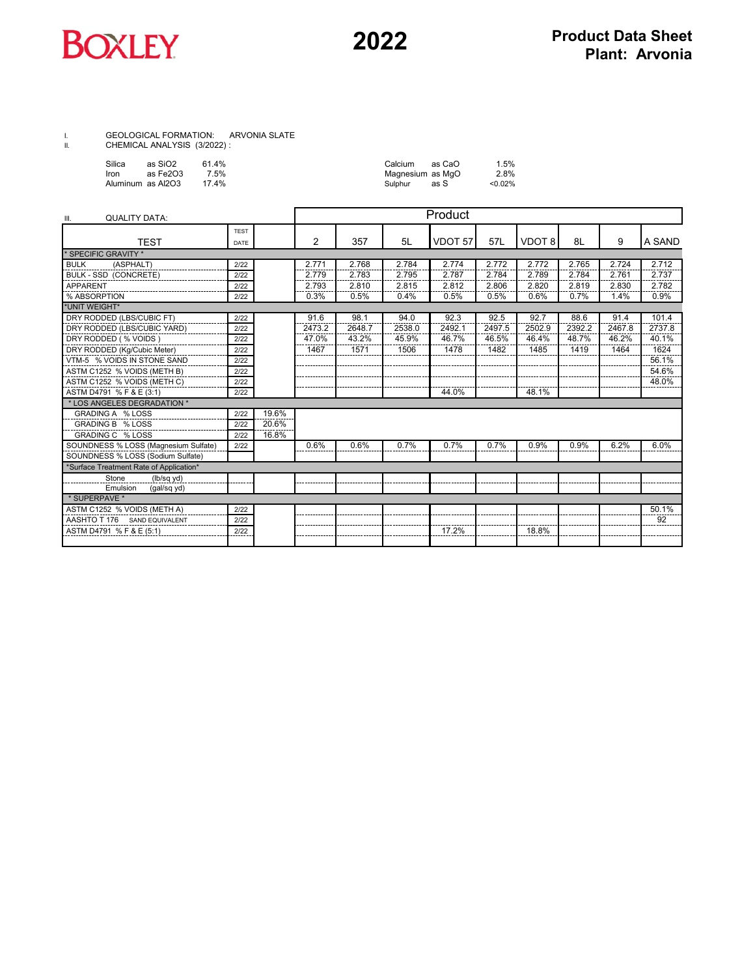

## I. GEOLOGICAL FORMATION: ARVONIA SLATE II. CHEMICAL ANALYSIS (3/2022) :

|      | Silica | as SiO2           | 61.4% |
|------|--------|-------------------|-------|
| Iron |        | as Fe2O3          | 7.5%  |
|      |        | Aluminum as Al2O3 | 17.4% |

| Silica | as SiO2            | 614% | Calcium          | as CaO | 1.5%   |
|--------|--------------------|------|------------------|--------|--------|
| Iron   | as Fe2O3           | 7.5% | Magnesium as MgO |        | 2.8%   |
|        | Aluminum  as Al2O3 | 174% | Sulphur          | as S   | <0.02% |

| <b>QUALITY DATA:</b><br>III.            |             |       |        |        | Product |         |        |        |        |        |        |
|-----------------------------------------|-------------|-------|--------|--------|---------|---------|--------|--------|--------|--------|--------|
|                                         | <b>TEST</b> |       |        |        |         |         |        |        |        |        |        |
| <b>TFST</b>                             | DATE        |       | 2      | 357    | 5L      | VDOT 57 | 57L    | VDOT 8 | 8L     | 9      | A SAND |
| * SPECIFIC GRAVITY *                    |             |       |        |        |         |         |        |        |        |        |        |
| <b>BULK</b><br>(ASPHALT)                | 2/22        |       | 2.771  | 2.768  | 2.784   | 2.774   | 2.772  | 2.772  | 2.765  | 2.724  | 2.712  |
| <b>BULK - SSD (CONCRETE)</b>            | 2/22        |       | 2.779  | 2.783  | 2.795   | 2.787   | 2.784  | 2.789  | 2.784  | 2.761  | 2.737  |
| <b>APPARENT</b>                         | 2/22        |       | 2.793  | 2.810  | 2.815   | 2.812   | 2.806  | 2.820  | 2.819  | 2.830  | 2.782  |
| % ABSORPTION                            | 2/22        |       | 0.3%   | 0.5%   | 0.4%    | 0.5%    | 0.5%   | 0.6%   | 0.7%   | 1.4%   | 0.9%   |
| *UNIT WEIGHT*                           |             |       |        |        |         |         |        |        |        |        |        |
| DRY RODDED (LBS/CUBIC FT)               | 2/22        |       | 91.6   | 98.1   | 94.0    | 92.3    | 92.5   | 92.7   | 88.6   | 91.4   | 101.4  |
| DRY RODDED (LBS/CUBIC YARD)             | 2/22        |       | 2473.2 | 2648.7 | 2538.0  | 2492.1  | 2497.5 | 2502.9 | 2392.2 | 2467.8 | 2737.8 |
| DRY RODDED (% VOIDS)                    | 2/22        |       | 47.0%  | 43.2%  | 45.9%   | 46.7%   | 46.5%  | 46.4%  | 48.7%  | 46.2%  | 40.1%  |
| DRY RODDED (Kg/Cubic Meter)             | 2/22        |       | 1467   | 1571   | 1506    | 1478    | 1482   | 1485   | 1419   | 1464   | 1624   |
| VTM-5 % VOIDS IN STONE SAND             | 2/22        |       |        |        |         |         |        |        |        |        | 56.1%  |
| ASTM C1252 % VOIDS (METH B)             | 2/22        |       |        |        |         |         |        |        |        |        | 54.6%  |
| ASTM C1252 % VOIDS (METH C)             | 2/22        |       |        |        |         |         |        |        |        |        | 48.0%  |
| ASTM D4791 % F & E (3:1)                | 2/22        |       |        |        |         | 44.0%   |        | 48.1%  |        |        |        |
| * LOS ANGELES DEGRADATION *             |             |       |        |        |         |         |        |        |        |        |        |
| GRADING A % LOSS                        | 2/22        | 19.6% |        |        |         |         |        |        |        |        |        |
| GRADING B % LOSS                        | 2/22        | 20.6% |        |        |         |         |        |        |        |        |        |
| <b>GRADING C % LOSS</b>                 | 2/22        | 16.8% |        |        |         |         |        |        |        |        |        |
| SOUNDNESS % LOSS (Magnesium Sulfate)    | 2/22        |       | 0.6%   | 0.6%   | 0.7%    | 0.7%    | 0.7%   | 0.9%   | 0.9%   | 6.2%   | 6.0%   |
| SOUNDNESS % LOSS (Sodium Sulfate)       |             |       |        |        |         |         |        |        |        |        |        |
| *Surface Treatment Rate of Application* |             |       |        |        |         |         |        |        |        |        |        |
| Stone<br>(lb/sq yd)                     |             |       |        |        |         |         |        |        |        |        |        |
| Emulsion<br>(gal/sq yd)                 |             |       |        |        |         |         |        |        |        |        |        |
| * SUPERPAVE *                           |             |       |        |        |         |         |        |        |        |        |        |
| ASTM C1252 % VOIDS (METH A)             | 2/22        |       |        |        |         |         |        |        |        |        | 50.1%  |
| AASHTO T 176 SAND FOUIVALENT            | 2/22        |       |        |        |         |         |        |        |        |        | 92     |
| ASTM D4791 % F & E (5:1)                | 2/22        |       |        |        |         | 17.2%   |        | 18.8%  |        |        |        |
|                                         |             |       |        |        |         |         |        |        |        |        |        |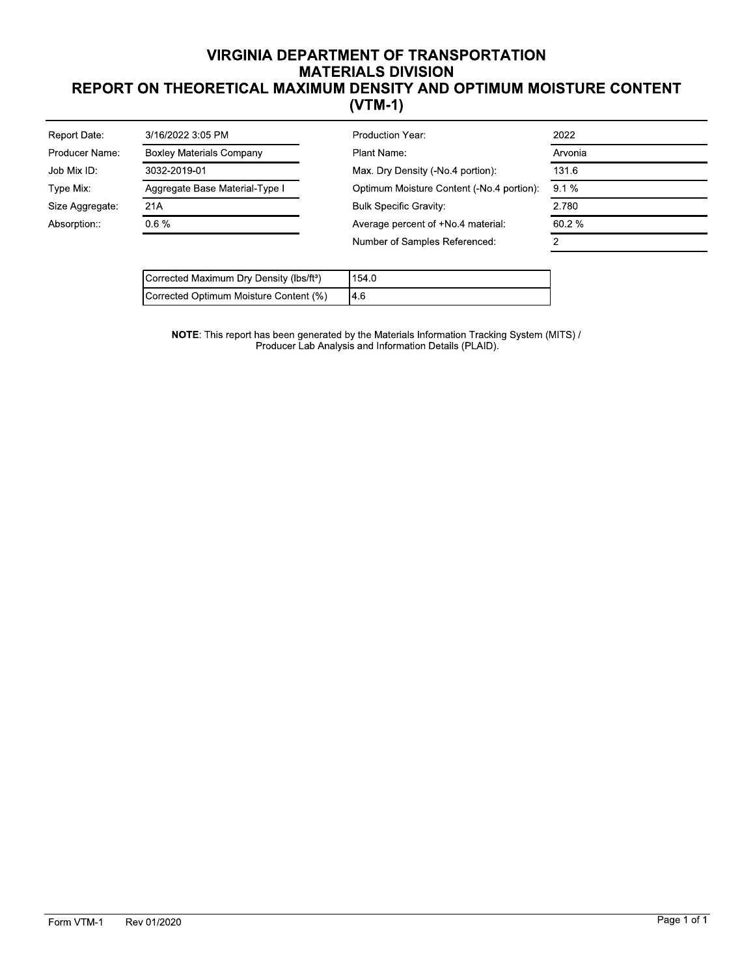## **VIRGINIA DEPARTMENT OF TRANSPORTATION MATERIALS DIVISION** REPORT ON THEORETICAL MAXIMUM DENSITY AND OPTIMUM MOISTURE CONTENT  $(VTM-1)$

| 2022                                                 |
|------------------------------------------------------|
| Arvonia                                              |
| 131.6<br>Max. Dry Density (-No.4 portion):           |
| $9.1\%$<br>Optimum Moisture Content (-No.4 portion): |
| 2.780<br><b>Bulk Specific Gravity:</b>               |
| Average percent of +No.4 material<br>60.2%           |
| Number of Samples Referenced:                        |
|                                                      |

| Corrected Maximum Dry Density (lbs/ft <sup>3</sup> ) | 154.0     |
|------------------------------------------------------|-----------|
| Corrected Optimum Moisture Content (%)               | <b>46</b> |

NOTE: This report has been generated by the Materials Information Tracking System (MITS) /<br>Producer Lab Analysis and Information Details (PLAID).